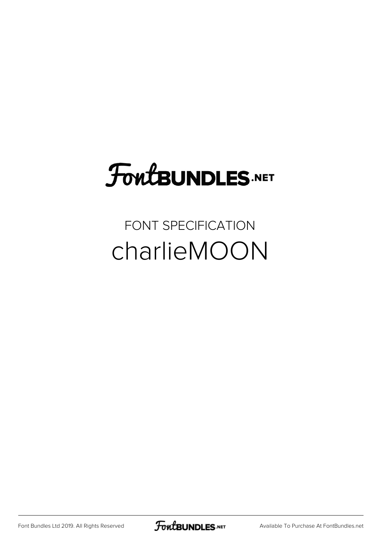# FoutBUNDLES.NET

#### FONT SPECIFICATION charlieMOON

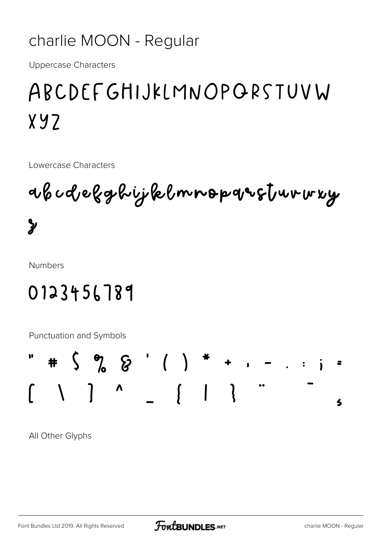#### charlie MOON - Regular

**Uppercase Characters** 

## ABCDEFGHIJKLMNOPORSTUVW  $X.97$

Lowercase Characters

abcdelghijklmnopqusturwuy  $\mathbf{y}$ 

**Numbers** 

#### 0123456789

Punctuation and Symbols



All Other Glyphs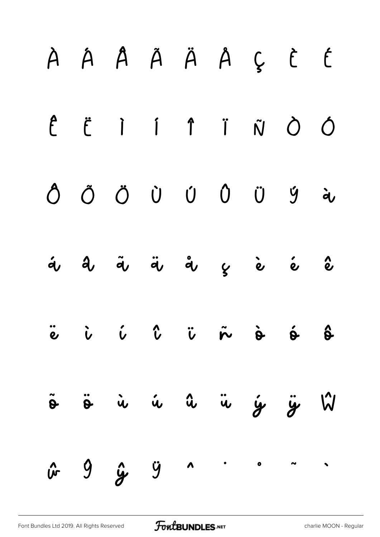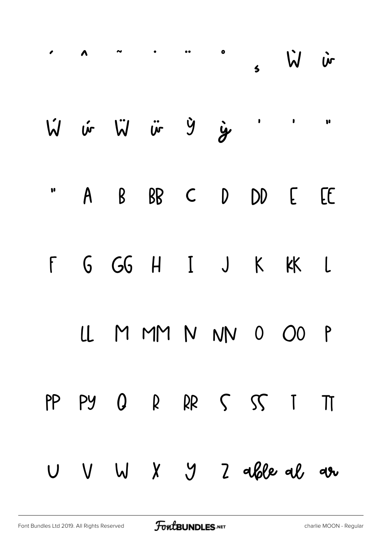|           |    | $\therefore$ ^ $\therefore$ ^ $\therefore$ $\vee$ $\vee$ $\vee$ $\vee$ |  |  |  |
|-----------|----|------------------------------------------------------------------------|--|--|--|
|           |    | W vir Wir in group in 1                                                |  |  |  |
|           |    | " A B BB C D DD E EE                                                   |  |  |  |
|           |    | F G GG H I J K KK L                                                    |  |  |  |
|           |    | LL M MM N NN 0 00 P                                                    |  |  |  |
| PP        | PY | $0 R R S S I T$                                                        |  |  |  |
| $\bigcup$ |    | V W X Y Z able al ar                                                   |  |  |  |